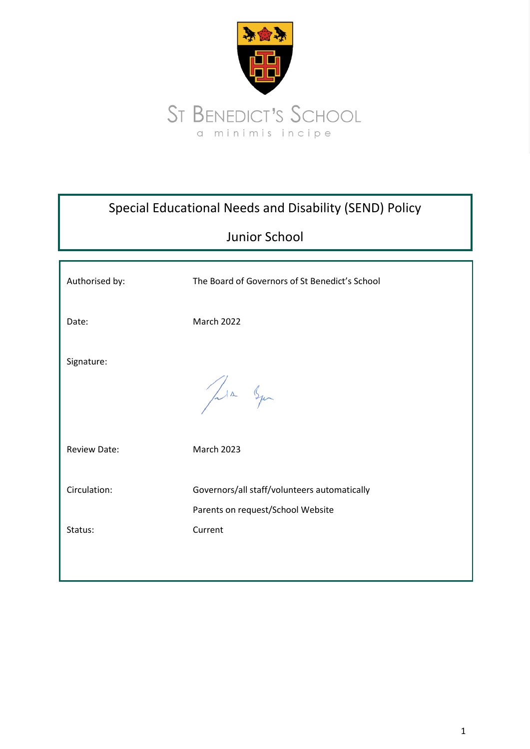

| Special Educational Needs and Disability (SEND) Policy |                                                                                   |
|--------------------------------------------------------|-----------------------------------------------------------------------------------|
|                                                        | <b>Junior School</b>                                                              |
| Authorised by:                                         | The Board of Governors of St Benedict's School                                    |
| Date:                                                  | <b>March 2022</b>                                                                 |
| Signature:                                             | Lin Squ                                                                           |
| <b>Review Date:</b>                                    | <b>March 2023</b>                                                                 |
| Circulation:                                           | Governors/all staff/volunteers automatically<br>Parents on request/School Website |
| Status:                                                | Current                                                                           |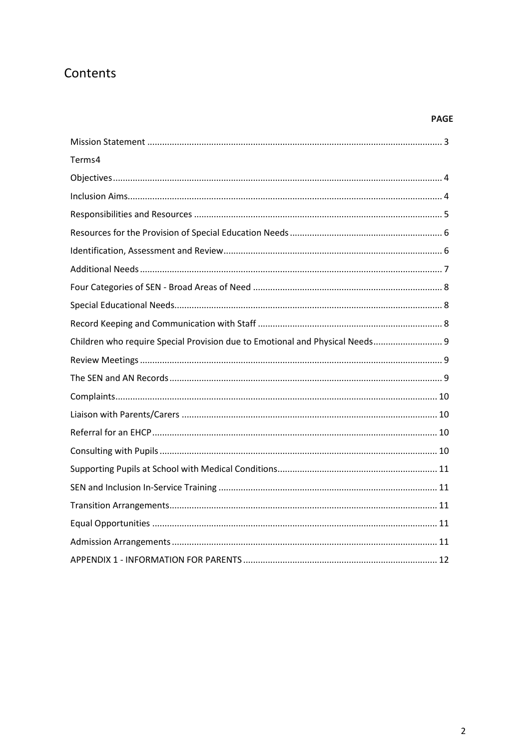# Contents

# **PAGE**

| Terms4                                                                       |
|------------------------------------------------------------------------------|
|                                                                              |
|                                                                              |
|                                                                              |
|                                                                              |
|                                                                              |
|                                                                              |
|                                                                              |
|                                                                              |
|                                                                              |
| Children who require Special Provision due to Emotional and Physical Needs 9 |
|                                                                              |
|                                                                              |
|                                                                              |
|                                                                              |
|                                                                              |
|                                                                              |
|                                                                              |
|                                                                              |
|                                                                              |
|                                                                              |
|                                                                              |
|                                                                              |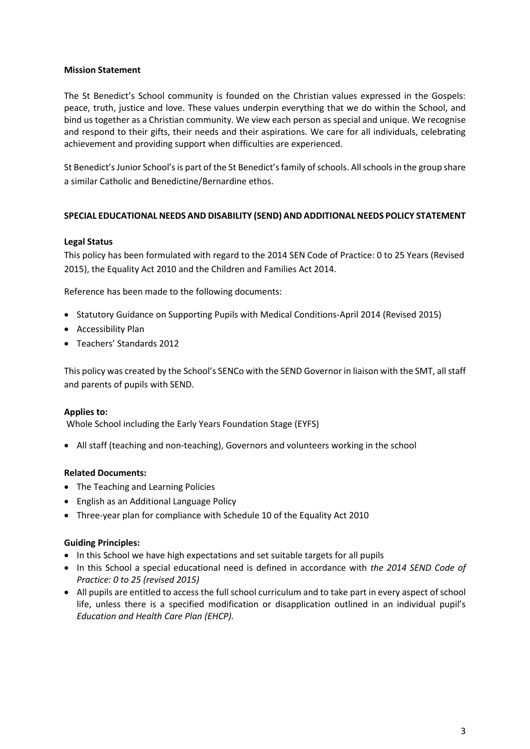#### <span id="page-2-0"></span>**Mission Statement**

The St Benedict's School community is founded on the Christian values expressed in the Gospels: peace, truth, justice and love. These values underpin everything that we do within the School, and bind us together as a Christian community. We view each person as special and unique. We recognise and respond to their gifts, their needs and their aspirations. We care for all individuals, celebrating achievement and providing support when difficulties are experienced.

St Benedict's Junior School's is part of the St Benedict's family of schools. All schools in the group share a similar Catholic and Benedictine/Bernardine ethos.

## **SPECIAL EDUCATIONAL NEEDS AND DISABILITY (SEND) AND ADDITIONAL NEEDS POLICY STATEMENT**

### **Legal Status**

This policy has been formulated with regard to the 2014 SEN Code of Practice: 0 to 25 Years (Revised 2015), the Equality Act 2010 and the Children and Families Act 2014.

Reference has been made to the following documents:

- Statutory Guidance on Supporting Pupils with Medical Conditions-April 2014 (Revised 2015)
- Accessibility Plan
- Teachers' Standards 2012

This policy was created by the School's SENCo with the SEND Governor in liaison with the SMT, all staff and parents of pupils with SEND.

#### **Applies to:**

Whole School including the Early Years Foundation Stage (EYFS)

• All staff (teaching and non-teaching), Governors and volunteers working in the school

#### **Related Documents:**

- The Teaching and Learning Policies
- English as an Additional Language Policy
- Three-year plan for compliance with Schedule 10 of the Equality Act 2010

#### **Guiding Principles:**

- In this School we have high expectations and set suitable targets for all pupils
- In this School a special educational need is defined in accordance with *the 2014 SEND Code of Practice: 0 to 25 (revised 2015)*
- All pupils are entitled to access the full school curriculum and to take part in every aspect of school life, unless there is a specified modification or disapplication outlined in an individual pupil's *Education and Health Care Plan (EHCP).*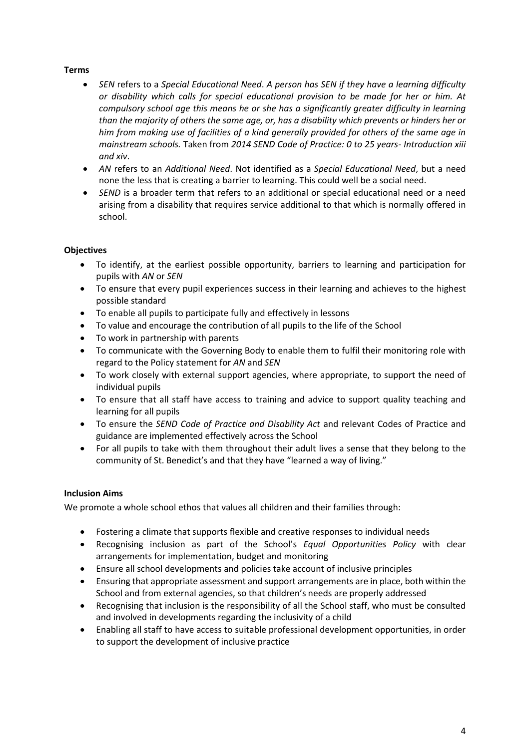## <span id="page-3-0"></span>**Terms**

- *SEN* refers to a *Special Educational Need*. *A person has SEN if they have a learning difficulty or disability which calls for special educational provision to be made for her or him. At compulsory school age this means he or she has a significantly greater difficulty in learning than the majority of others the same age, or, has a disability which prevents or hinders her or him from making use of facilities of a kind generally provided for others of the same age in mainstream schools.* Taken from *2014 SEND Code of Practice: 0 to 25 years- Introduction xiii and xiv*.
- *AN* refers to an *Additional Need*. Not identified as a *Special Educational Need*, but a need none the less that is creating a barrier to learning. This could well be a social need.
- *SEND* is a broader term that refers to an additional or special educational need or a need arising from a disability that requires service additional to that which is normally offered in school.

## <span id="page-3-1"></span>**Objectives**

- To identify, at the earliest possible opportunity, barriers to learning and participation for pupils with *AN* or *SEN*
- To ensure that every pupil experiences success in their learning and achieves to the highest possible standard
- To enable all pupils to participate fully and effectively in lessons
- To value and encourage the contribution of all pupils to the life of the School
- To work in partnership with parents
- To communicate with the Governing Body to enable them to fulfil their monitoring role with regard to the Policy statement for *AN* and *SEN*
- To work closely with external support agencies, where appropriate, to support the need of individual pupils
- To ensure that all staff have access to training and advice to support quality teaching and learning for all pupils
- To ensure the *SEND Code of Practice and Disability Act* and relevant Codes of Practice and guidance are implemented effectively across the School
- For all pupils to take with them throughout their adult lives a sense that they belong to the community of St. Benedict's and that they have "learned a way of living."

## <span id="page-3-2"></span>**Inclusion Aims**

We promote a whole school ethos that values all children and their families through:

- Fostering a climate that supports flexible and creative responses to individual needs
- Recognising inclusion as part of the School's *Equal Opportunities Policy* with clear arrangements for implementation, budget and monitoring
- Ensure all school developments and policies take account of inclusive principles
- Ensuring that appropriate assessment and support arrangements are in place, both within the School and from external agencies, so that children's needs are properly addressed
- Recognising that inclusion is the responsibility of all the School staff, who must be consulted and involved in developments regarding the inclusivity of a child
- Enabling all staff to have access to suitable professional development opportunities, in order to support the development of inclusive practice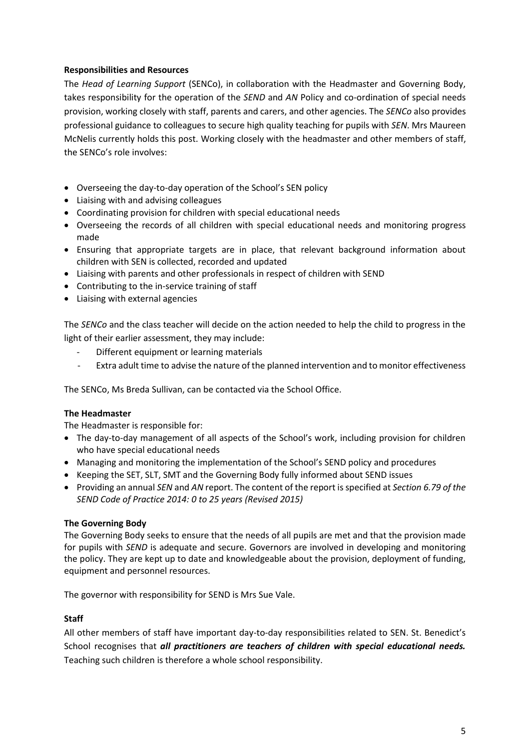## <span id="page-4-0"></span>**Responsibilities and Resources**

The *Head of Learning Support* (SENCo), in collaboration with the Headmaster and Governing Body, takes responsibility for the operation of the *SEND* and *AN* Policy and co-ordination of special needs provision, working closely with staff, parents and carers, and other agencies. The *SENCo* also provides professional guidance to colleagues to secure high quality teaching for pupils with *SEN*. Mrs Maureen McNelis currently holds this post. Working closely with the headmaster and other members of staff, the SENCo's role involves:

- Overseeing the day-to-day operation of the School's SEN policy
- Liaising with and advising colleagues
- Coordinating provision for children with special educational needs
- Overseeing the records of all children with special educational needs and monitoring progress made
- Ensuring that appropriate targets are in place, that relevant background information about children with SEN is collected, recorded and updated
- Liaising with parents and other professionals in respect of children with SEND
- Contributing to the in-service training of staff
- Liaising with external agencies

The *SENCo* and the class teacher will decide on the action needed to help the child to progress in the light of their earlier assessment, they may include:

- Different equipment or learning materials
- Extra adult time to advise the nature of the planned intervention and to monitor effectiveness

The SENCo, Ms Breda Sullivan, can be contacted via the School Office.

#### **The Headmaster**

The Headmaster is responsible for:

- The day-to-day management of all aspects of the School's work, including provision for children who have special educational needs
- Managing and monitoring the implementation of the School's SEND policy and procedures
- Keeping the SET, SLT, SMT and the Governing Body fully informed about SEND issues
- Providing an annual *SEN* and *AN* report. The content of the report is specified at *Section 6.79 of the SEND Code of Practice 2014: 0 to 25 years (Revised 2015)*

#### **The Governing Body**

The Governing Body seeks to ensure that the needs of all pupils are met and that the provision made for pupils with *SEND* is adequate and secure. Governors are involved in developing and monitoring the policy. They are kept up to date and knowledgeable about the provision, deployment of funding, equipment and personnel resources.

The governor with responsibility for SEND is Mrs Sue Vale.

#### **Staff**

All other members of staff have important day-to-day responsibilities related to SEN. St. Benedict's School recognises that *all practitioners are teachers of children with special educational needs.* Teaching such children is therefore a whole school responsibility.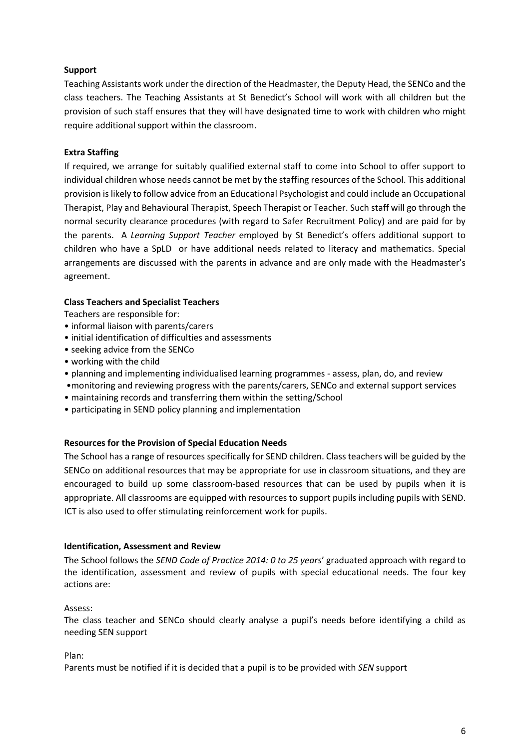## **Support**

Teaching Assistants work under the direction of the Headmaster, the Deputy Head, the SENCo and the class teachers. The Teaching Assistants at St Benedict's School will work with all children but the provision of such staff ensures that they will have designated time to work with children who might require additional support within the classroom.

### **Extra Staffing**

If required, we arrange for suitably qualified external staff to come into School to offer support to individual children whose needs cannot be met by the staffing resources of the School. This additional provision is likely to follow advice from an Educational Psychologist and could include an Occupational Therapist, Play and Behavioural Therapist, Speech Therapist or Teacher. Such staff will go through the normal security clearance procedures (with regard to Safer Recruitment Policy) and are paid for by the parents. A *Learning Support Teacher* employed by St Benedict's offers additional support to children who have a SpLD or have additional needs related to literacy and mathematics. Special arrangements are discussed with the parents in advance and are only made with the Headmaster's agreement.

### **Class Teachers and Specialist Teachers**

Teachers are responsible for:

- informal liaison with parents/carers
- initial identification of difficulties and assessments
- seeking advice from the SENCo
- working with the child
- planning and implementing individualised learning programmes assess, plan, do, and review
- •monitoring and reviewing progress with the parents/carers, SENCo and external support services
- maintaining records and transferring them within the setting/School
- <span id="page-5-0"></span>• participating in SEND policy planning and implementation

#### **Resources for the Provision of Special Education Needs**

The School has a range of resources specifically for SEND children. Class teachers will be guided by the SENCo on additional resources that may be appropriate for use in classroom situations, and they are encouraged to build up some classroom-based resources that can be used by pupils when it is appropriate. All classrooms are equipped with resources to support pupils including pupils with SEND. ICT is also used to offer stimulating reinforcement work for pupils.

#### <span id="page-5-1"></span>**Identification, Assessment and Review**

The School follows the *SEND Code of Practice 2014: 0 to 25 years*' graduated approach with regard to the identification, assessment and review of pupils with special educational needs. The four key actions are:

#### Assess:

The class teacher and SENCo should clearly analyse a pupil's needs before identifying a child as needing SEN support

Plan:

Parents must be notified if it is decided that a pupil is to be provided with *SEN* support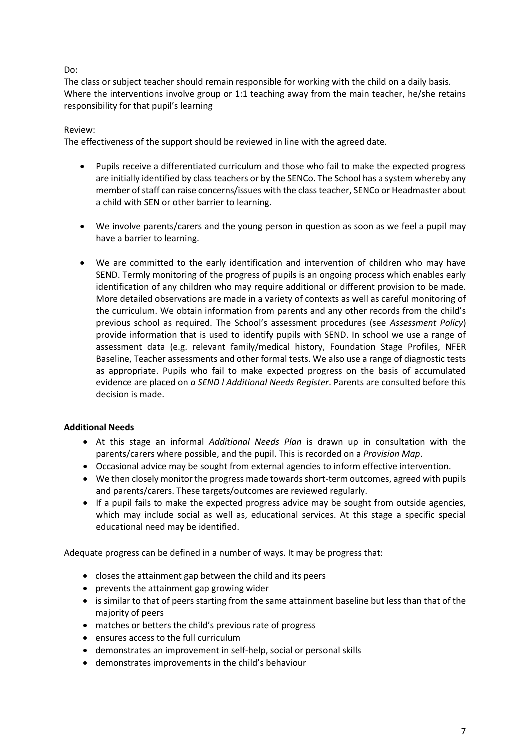## Do:

The class or subject teacher should remain responsible for working with the child on a daily basis. Where the interventions involve group or 1:1 teaching away from the main teacher, he/she retains responsibility for that pupil's learning

#### Review:

The effectiveness of the support should be reviewed in line with the agreed date.

- Pupils receive a differentiated curriculum and those who fail to make the expected progress are initially identified by class teachers or by the SENCo. The School has a system whereby any member of staff can raise concerns/issues with the class teacher, SENCo or Headmaster about a child with SEN or other barrier to learning.
- We involve parents/carers and the young person in question as soon as we feel a pupil may have a barrier to learning.
- We are committed to the early identification and intervention of children who may have SEND. Termly monitoring of the progress of pupils is an ongoing process which enables early identification of any children who may require additional or different provision to be made. More detailed observations are made in a variety of contexts as well as careful monitoring of the curriculum. We obtain information from parents and any other records from the child's previous school as required. The School's assessment procedures (see *Assessment Policy*) provide information that is used to identify pupils with SEND. In school we use a range of assessment data (e.g. relevant family/medical history, Foundation Stage Profiles, NFER Baseline, Teacher assessments and other formal tests. We also use a range of diagnostic tests as appropriate. Pupils who fail to make expected progress on the basis of accumulated evidence are placed on *a SEND l Additional Needs Register*. Parents are consulted before this decision is made.

## <span id="page-6-0"></span>**Additional Needs**

- At this stage an informal *Additional Needs Plan* is drawn up in consultation with the parents/carers where possible, and the pupil. This is recorded on a *Provision Map*.
- Occasional advice may be sought from external agencies to inform effective intervention.
- We then closely monitor the progress made towards short-term outcomes, agreed with pupils and parents/carers. These targets/outcomes are reviewed regularly.
- If a pupil fails to make the expected progress advice may be sought from outside agencies, which may include social as well as, educational services. At this stage a specific special educational need may be identified.

Adequate progress can be defined in a number of ways. It may be progress that:

- closes the attainment gap between the child and its peers
- prevents the attainment gap growing wider
- is similar to that of peers starting from the same attainment baseline but less than that of the majority of peers
- matches or betters the child's previous rate of progress
- ensures access to the full curriculum
- demonstrates an improvement in self-help, social or personal skills
- demonstrates improvements in the child's behaviour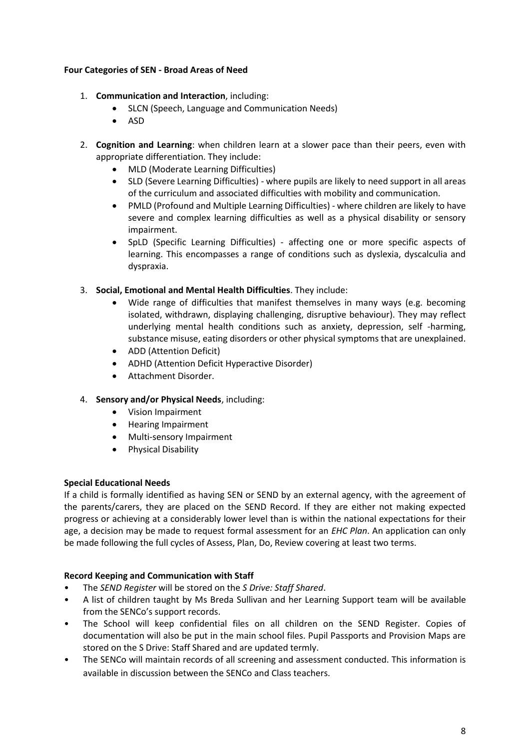## <span id="page-7-0"></span>**Four Categories of SEN - Broad Areas of Need**

- 1. **Communication and Interaction**, including:
	- SLCN (Speech, Language and Communication Needs)
	- ASD
- 2. **Cognition and Learning**: when children learn at a slower pace than their peers, even with appropriate differentiation. They include:
	- MLD (Moderate Learning Difficulties)
	- SLD (Severe Learning Difficulties) where pupils are likely to need support in all areas of the curriculum and associated difficulties with mobility and communication.
	- PMLD (Profound and Multiple Learning Difficulties) where children are likely to have severe and complex learning difficulties as well as a physical disability or sensory impairment.
	- SpLD (Specific Learning Difficulties) affecting one or more specific aspects of learning. This encompasses a range of conditions such as dyslexia, dyscalculia and dyspraxia.
- 3. **Social, Emotional and Mental Health Difficulties**. They include:
	- Wide range of difficulties that manifest themselves in many ways (e.g. becoming isolated, withdrawn, displaying challenging, disruptive behaviour). They may reflect underlying mental health conditions such as anxiety, depression, self -harming, substance misuse, eating disorders or other physical symptoms that are unexplained.
	- ADD (Attention Deficit)
	- ADHD (Attention Deficit Hyperactive Disorder)
	- Attachment Disorder.
- 4. **Sensory and/or Physical Needs**, including:
	- Vision Impairment
	- Hearing Impairment
	- Multi-sensory Impairment
	- Physical Disability

#### <span id="page-7-1"></span>**Special Educational Needs**

If a child is formally identified as having SEN or SEND by an external agency, with the agreement of the parents/carers, they are placed on the SEND Record. If they are either not making expected progress or achieving at a considerably lower level than is within the national expectations for their age, a decision may be made to request formal assessment for an *EHC Plan*. An application can only be made following the full cycles of Assess, Plan, Do, Review covering at least two terms.

#### <span id="page-7-2"></span>**Record Keeping and Communication with Staff**

- The *SEND Register* will be stored on the *S Drive: Staff Shared*.
- A list of children taught by Ms Breda Sullivan and her Learning Support team will be available from the SENCo's support records.
- The School will keep confidential files on all children on the SEND Register. Copies of documentation will also be put in the main school files. Pupil Passports and Provision Maps are stored on the S Drive: Staff Shared and are updated termly.
- The SENCo will maintain records of all screening and assessment conducted. This information is available in discussion between the SENCo and Class teachers.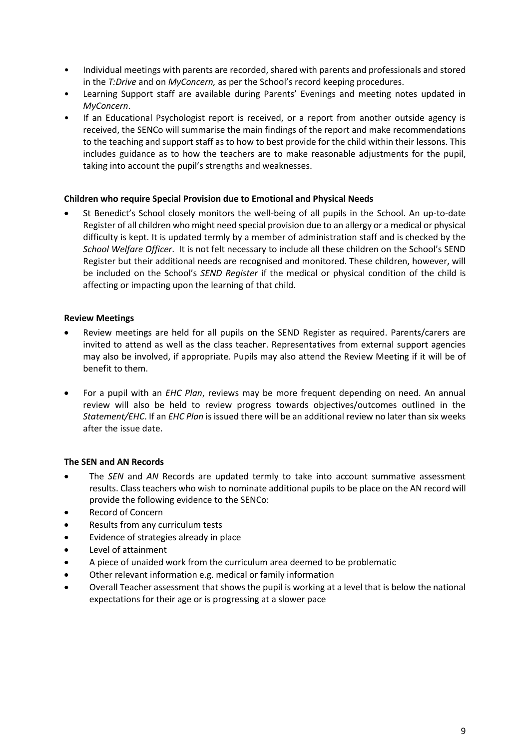- Individual meetings with parents are recorded, shared with parents and professionals and stored in the *T:Drive* and on *MyConcern,* as per the School's record keeping procedures.
- Learning Support staff are available during Parents' Evenings and meeting notes updated in *MyConcern*.
- If an Educational Psychologist report is received, or a report from another outside agency is received, the SENCo will summarise the main findings of the report and make recommendations to the teaching and support staff as to how to best provide for the child within their lessons. This includes guidance as to how the teachers are to make reasonable adjustments for the pupil, taking into account the pupil's strengths and weaknesses.

### <span id="page-8-0"></span>**Children who require Special Provision due to Emotional and Physical Needs**

• St Benedict's School closely monitors the well-being of all pupils in the School. An up-to-date Register of all children who might need special provision due to an allergy or a medical or physical difficulty is kept. It is updated termly by a member of administration staff and is checked by the *School Welfare Officer*. It is not felt necessary to include all these children on the School's SEND Register but their additional needs are recognised and monitored. These children, however, will be included on the School's *SEND Register* if the medical or physical condition of the child is affecting or impacting upon the learning of that child.

### <span id="page-8-1"></span>**Review Meetings**

- Review meetings are held for all pupils on the SEND Register as required. Parents/carers are invited to attend as well as the class teacher. Representatives from external support agencies may also be involved, if appropriate. Pupils may also attend the Review Meeting if it will be of benefit to them.
- For a pupil with an *EHC Plan*, reviews may be more frequent depending on need. An annual review will also be held to review progress towards objectives/outcomes outlined in the *Statement/EHC*. If an *EHC Plan* is issued there will be an additional review no later than six weeks after the issue date.

## <span id="page-8-2"></span>**The SEN and AN Records**

- The *SEN* and *AN* Records are updated termly to take into account summative assessment results. Class teachers who wish to nominate additional pupils to be place on the AN record will provide the following evidence to the SENCo:
- Record of Concern
- Results from any curriculum tests
- Evidence of strategies already in place
- Level of attainment
- A piece of unaided work from the curriculum area deemed to be problematic
- Other relevant information e.g. medical or family information
- Overall Teacher assessment that shows the pupil is working at a level that is below the national expectations for their age or is progressing at a slower pace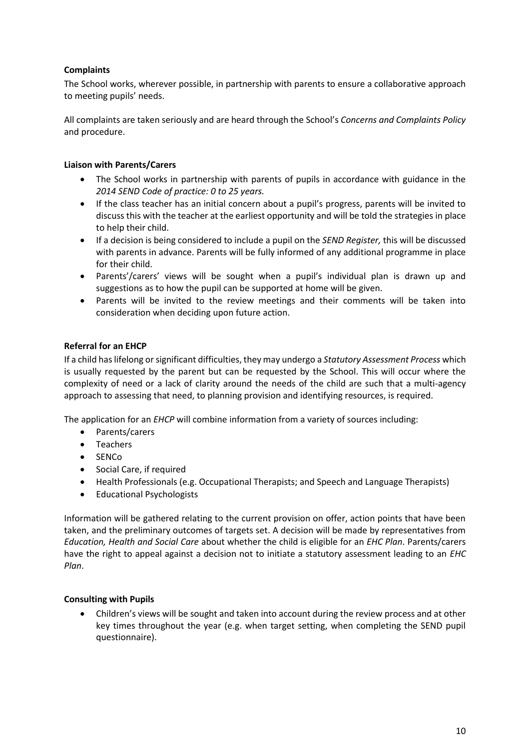# <span id="page-9-0"></span>**Complaints**

The School works, wherever possible, in partnership with parents to ensure a collaborative approach to meeting pupils' needs.

All complaints are taken seriously and are heard through the School's *Concerns and Complaints Policy* and procedure.

## <span id="page-9-1"></span>**Liaison with Parents/Carers**

- The School works in partnership with parents of pupils in accordance with guidance in the *2014 SEND Code of practice: 0 to 25 years.*
- If the class teacher has an initial concern about a pupil's progress, parents will be invited to discuss this with the teacher at the earliest opportunity and will be told the strategies in place to help their child.
- If a decision is being considered to include a pupil on the *SEND Register,* this will be discussed with parents in advance. Parents will be fully informed of any additional programme in place for their child.
- Parents'/carers' views will be sought when a pupil's individual plan is drawn up and suggestions as to how the pupil can be supported at home will be given.
- Parents will be invited to the review meetings and their comments will be taken into consideration when deciding upon future action.

# <span id="page-9-2"></span>**Referral for an EHCP**

If a child has lifelong or significant difficulties, they may undergo a *Statutory Assessment Process* which is usually requested by the parent but can be requested by the School. This will occur where the complexity of need or a lack of clarity around the needs of the child are such that a multi-agency approach to assessing that need, to planning provision and identifying resources, is required.

The application for an *EHCP* will combine information from a variety of sources including:

- Parents/carers
- Teachers
- SENCo
- Social Care, if required
- Health Professionals (e.g. Occupational Therapists; and Speech and Language Therapists)
- Educational Psychologists

Information will be gathered relating to the current provision on offer, action points that have been taken, and the preliminary outcomes of targets set. A decision will be made by representatives from *Education, Health and Social Care* about whether the child is eligible for an *EHC Plan*. Parents/carers have the right to appeal against a decision not to initiate a statutory assessment leading to an *EHC Plan*.

## <span id="page-9-3"></span>**Consulting with Pupils**

• Children's views will be sought and taken into account during the review process and at other key times throughout the year (e.g. when target setting, when completing the SEND pupil questionnaire).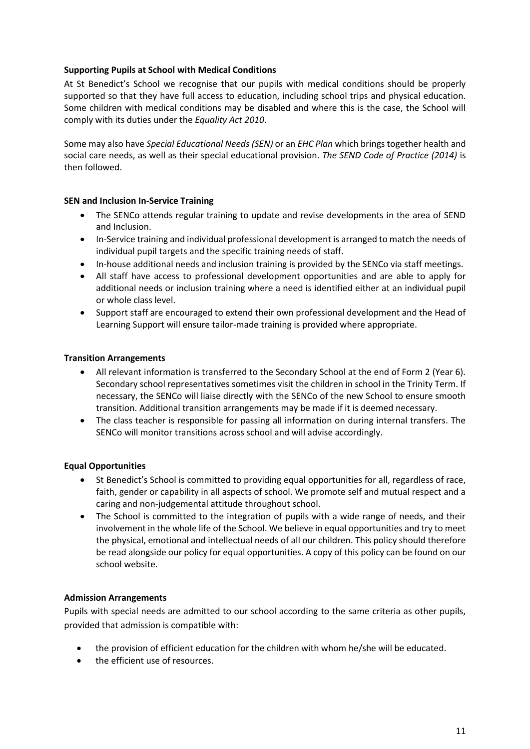## <span id="page-10-0"></span>**Supporting Pupils at School with Medical Conditions**

At St Benedict's School we recognise that our pupils with medical conditions should be properly supported so that they have full access to education, including school trips and physical education. Some children with medical conditions may be disabled and where this is the case, the School will comply with its duties under the *Equality Act 2010*.

Some may also have *Special Educational Needs (SEN)* or an *EHC Plan* which brings together health and social care needs, as well as their special educational provision. *The SEND Code of Practice (2014)* is then followed.

### <span id="page-10-1"></span>**SEN and Inclusion In-Service Training**

- The SENCo attends regular training to update and revise developments in the area of SEND and Inclusion.
- In-Service training and individual professional development is arranged to match the needs of individual pupil targets and the specific training needs of staff.
- In-house additional needs and inclusion training is provided by the SENCo via staff meetings.
- All staff have access to professional development opportunities and are able to apply for additional needs or inclusion training where a need is identified either at an individual pupil or whole class level.
- Support staff are encouraged to extend their own professional development and the Head of Learning Support will ensure tailor-made training is provided where appropriate.

### <span id="page-10-2"></span>**Transition Arrangements**

- All relevant information is transferred to the Secondary School at the end of Form 2 (Year 6). Secondary school representatives sometimes visit the children in school in the Trinity Term. If necessary, the SENCo will liaise directly with the SENCo of the new School to ensure smooth transition. Additional transition arrangements may be made if it is deemed necessary.
- The class teacher is responsible for passing all information on during internal transfers. The SENCo will monitor transitions across school and will advise accordingly.

## <span id="page-10-3"></span>**Equal Opportunities**

- St Benedict's School is committed to providing equal opportunities for all, regardless of race, faith, gender or capability in all aspects of school. We promote self and mutual respect and a caring and non-judgemental attitude throughout school.
- The School is committed to the integration of pupils with a wide range of needs, and their involvement in the whole life of the School. We believe in equal opportunities and try to meet the physical, emotional and intellectual needs of all our children. This policy should therefore be read alongside our policy for equal opportunities. A copy of this policy can be found on our school website.

#### <span id="page-10-4"></span>**Admission Arrangements**

Pupils with special needs are admitted to our school according to the same criteria as other pupils, provided that admission is compatible with:

- the provision of efficient education for the children with whom he/she will be educated.
- the efficient use of resources.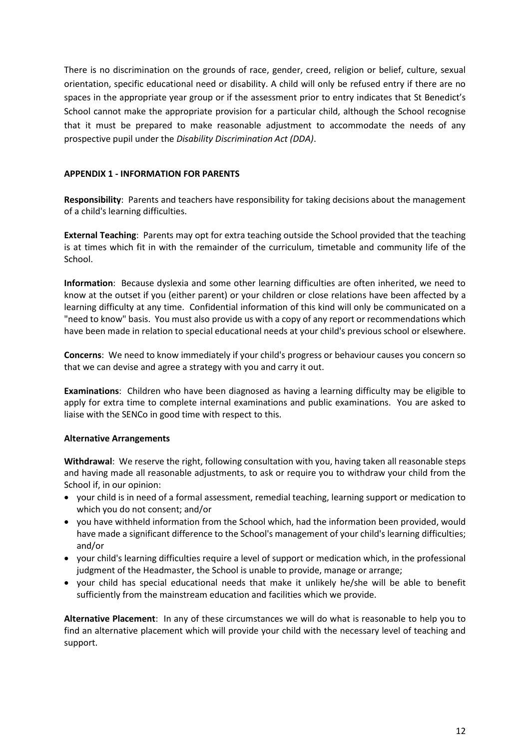There is no discrimination on the grounds of race, gender, creed, religion or belief, culture, sexual orientation, specific educational need or disability. A child will only be refused entry if there are no spaces in the appropriate year group or if the assessment prior to entry indicates that St Benedict's School cannot make the appropriate provision for a particular child, although the School recognise that it must be prepared to make reasonable adjustment to accommodate the needs of any prospective pupil under the *Disability Discrimination Act (DDA)*.

## <span id="page-11-0"></span>**APPENDIX 1 - INFORMATION FOR PARENTS**

**Responsibility**: Parents and teachers have responsibility for taking decisions about the management of a child's learning difficulties.

**External Teaching**: Parents may opt for extra teaching outside the School provided that the teaching is at times which fit in with the remainder of the curriculum, timetable and community life of the School.

**Information**: Because dyslexia and some other learning difficulties are often inherited, we need to know at the outset if you (either parent) or your children or close relations have been affected by a learning difficulty at any time. Confidential information of this kind will only be communicated on a "need to know" basis. You must also provide us with a copy of any report or recommendations which have been made in relation to special educational needs at your child's previous school or elsewhere.

**Concerns**: We need to know immediately if your child's progress or behaviour causes you concern so that we can devise and agree a strategy with you and carry it out.

**Examinations**: Children who have been diagnosed as having a learning difficulty may be eligible to apply for extra time to complete internal examinations and public examinations. You are asked to liaise with the SENCo in good time with respect to this.

#### **Alternative Arrangements**

**Withdrawal**: We reserve the right, following consultation with you, having taken all reasonable steps and having made all reasonable adjustments, to ask or require you to withdraw your child from the School if, in our opinion:

- your child is in need of a formal assessment, remedial teaching, learning support or medication to which you do not consent; and/or
- you have withheld information from the School which, had the information been provided, would have made a significant difference to the School's management of your child's learning difficulties; and/or
- your child's learning difficulties require a level of support or medication which, in the professional judgment of the Headmaster, the School is unable to provide, manage or arrange;
- your child has special educational needs that make it unlikely he/she will be able to benefit sufficiently from the mainstream education and facilities which we provide.

**Alternative Placement**: In any of these circumstances we will do what is reasonable to help you to find an alternative placement which will provide your child with the necessary level of teaching and support.